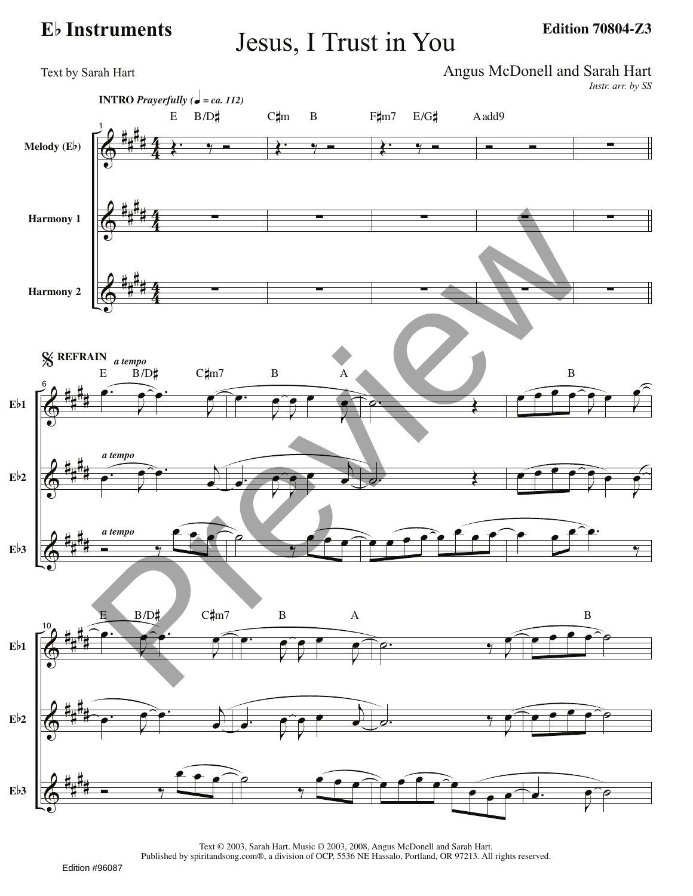## **<sup>E</sup>**b **Instruments** Jesus, I Trust in You

**Edition 70804-Z3**



Text © 2003, Sarah Hart. Music © 2003, 2008, Angus McDonell and Sarah Hart. Published by spiritandsong.com®, a division of OCP, 5536 NE Hassalo, Portland, OR 97213. All rights reserved.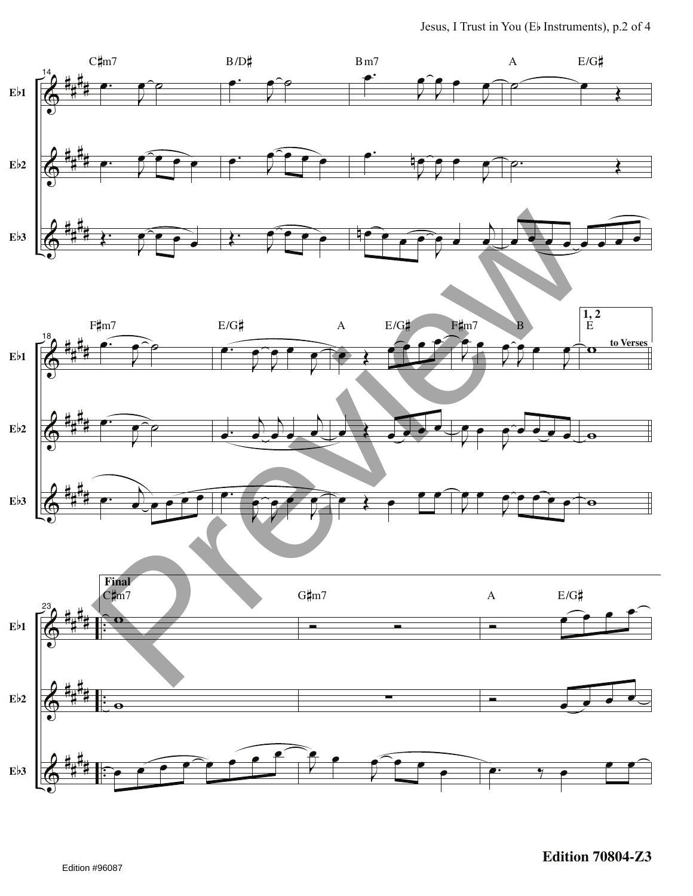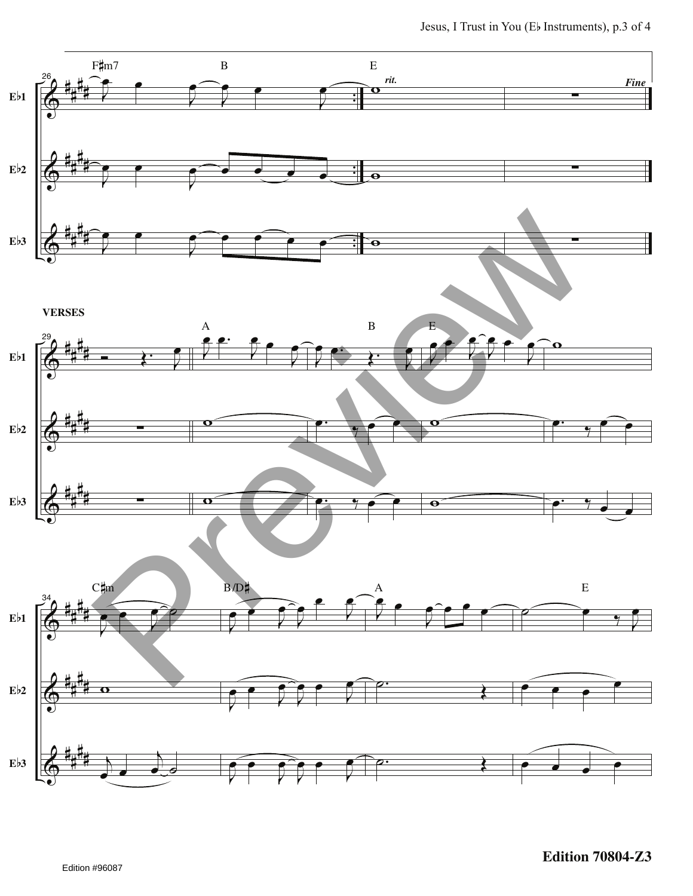